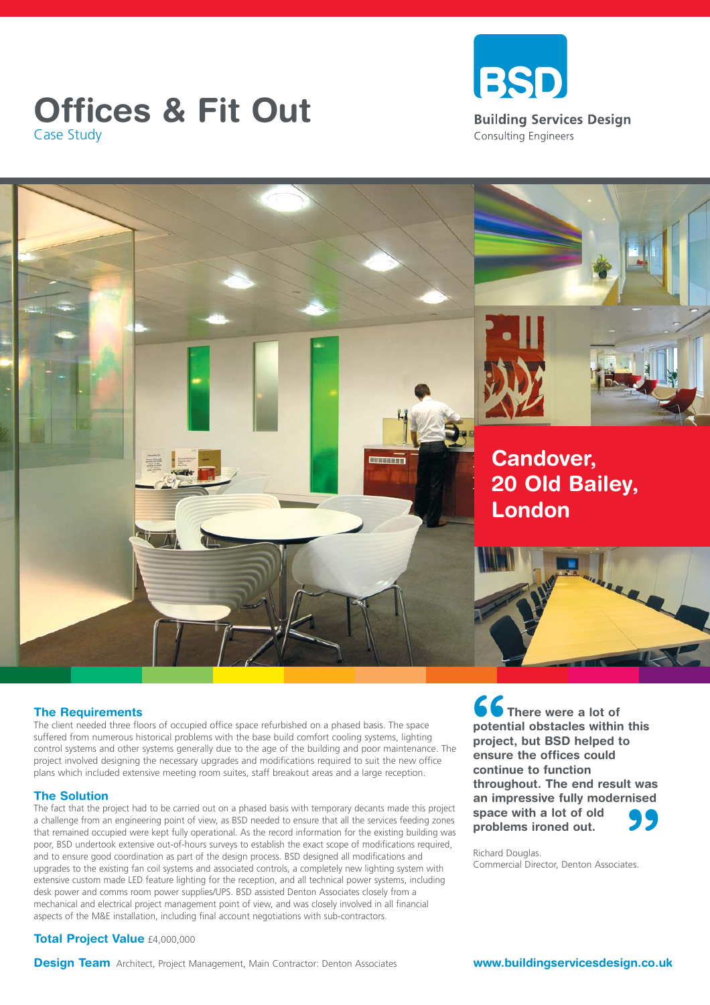# Case Study





### **The Requirements**

The client needed three floors of occupied office space refurbished on a phased basis. The space suffered from numerous historical problems with the base build comfort cooling systems, lighting control systems and other systems generally due to the age of the building and poor maintenance. The project involved designing the necessary upgrades and modifications required to suit the new office plans which included extensive meeting room suites, staff breakout areas and a large reception.

### **The Solution**

The fact that the project had to be carried out on a phased basis with temporary decants made this project a challenge from an engineering point of view, as BSD needed to ensure that all the services feeding zones that remained occupied were kept fully operational. As the record information for the existing building was poor, BSD undertook extensive out-of-hours surveys to establish the exact scope of modifications required, and to ensure good coordination as part of the design process. BSD designed all modifications and upgrades to the existing fan coil systems and associated controls, a completely new lighting system with extensive custom made LED feature lighting for the reception, and all technical power systems, including desk power and comms room power supplies/UPS. BSD assisted Denton Associates closely from a mechanical and electrical project management point of view, and was closely involved in all financial aspects of the M&E installation, including final account negotiations with sub-contractors.

### **Total Project Value** £4,000,000

**66**<br>potent<br>projec<br>ensure **99**<br>tes. **There were a lot of potential obstacles within this project, but BSD helped to ensure the offices could continue to function throughout. The end result was an impressive fully modernised space with a lot of old problems ironed out.** 

Richard Douglas. Commercial Director, Denton Associates.

**Design Team** Architect, Project Management, Main Contractor: Denton Associates